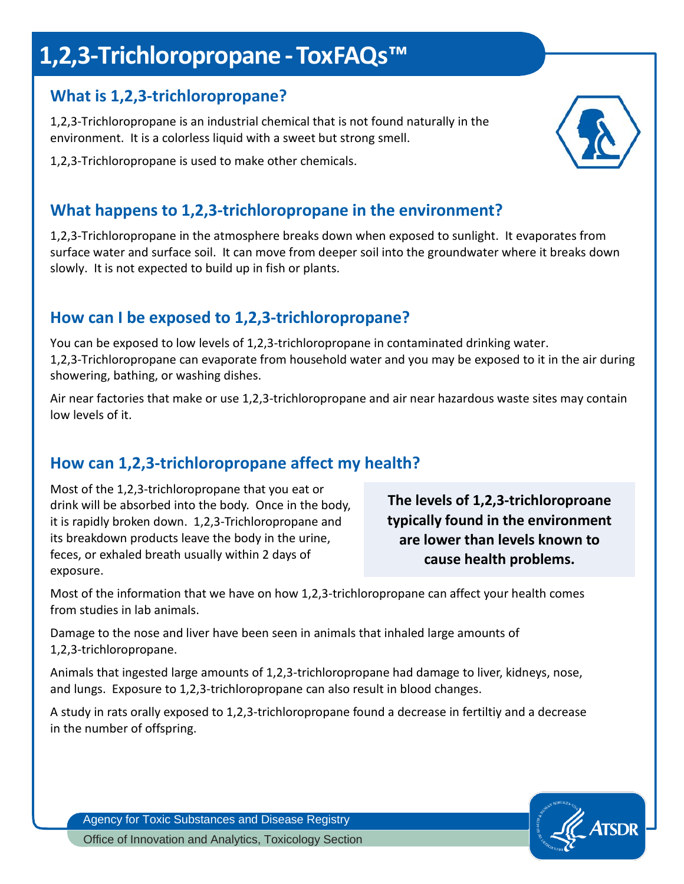# **1,2,3-Trichloropropane -ToxFAQs™**

### **What is 1,2,3-trichloropropane?**

1,2,3-Trichloropropane is an industrial chemical that is not found naturally in the environment. It is a colorless liquid with a sweet but strong smell.

1,2,3-Trichloropropane is used to make other chemicals.

# **What happens to 1,2,3-trichloropropane in the environment?**

1,2,3-Trichloropropane in the atmosphere breaks down when exposed to sunlight. It evaporates from surface water and surface soil. It can move from deeper soil into the groundwater where it breaks down slowly. It is not expected to build up in fish or plants.

### **How can I be exposed to 1,2,3-trichloropropane?**

You can be exposed to low levels of 1,2,3-trichloropropane in contaminated drinking water. 1,2,3-Trichloropropane can evaporate from household water and you may be exposed to it in the air during showering, bathing, or washing dishes.

Air near factories that make or use 1,2,3-trichloropropane and air near hazardous waste sites may contain low levels of it.

# **How can 1,2,3-trichloropropane affect my health?**

Most of the 1,2,3-trichloropropane that you eat or drink will be absorbed into the body. Once in the body, it is rapidly broken down. 1,2,3-Trichloropropane and its breakdown products leave the body in the urine, feces, or exhaled breath usually within 2 days of exposure.

**The levels of 1,2,3-trichloroproane typically found in the environment are lower than levels known to cause health problems.**

Most of the information that we have on how 1,2,3-trichloropropane can affect your health comes from studies in lab animals.

Damage to the nose and liver have been seen in animals that inhaled large amounts of 1,2,3-trichloropropane.

Animals that ingested large amounts of 1,2,3-trichloropropane had damage to liver, kidneys, nose, and lungs. Exposure to 1,2,3-trichloropropane can also result in blood changes.

A study in rats orally exposed to 1,2,3-trichloropropane found a decrease in fertiltiy and a decrease in the number of offspring.